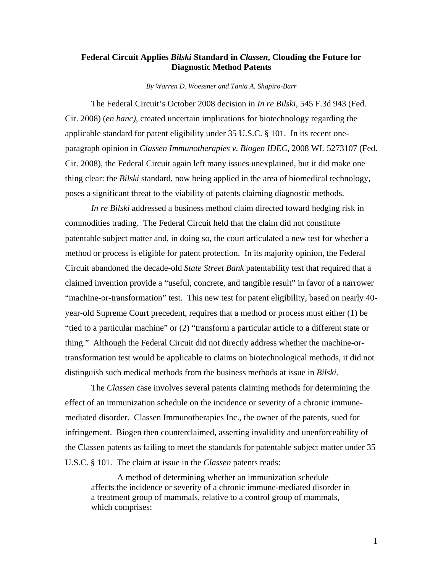## **Federal Circuit Applies** *Bilski* **Standard in** *Classen***, Clouding the Future for Diagnostic Method Patents**

*By Warren D. Woessner and Tania A. Shapiro-Barr* 

The Federal Circuit's October 2008 decision in *In re Bilski*, 545 F.3d 943 (Fed. Cir. 2008) (*en banc),* created uncertain implications for biotechnology regarding the applicable standard for patent eligibility under 35 U.S.C. § 101. In its recent oneparagraph opinion in *Classen Immunotherapies v. Biogen IDEC*, 2008 WL 5273107 (Fed. Cir. 2008), the Federal Circuit again left many issues unexplained, but it did make one thing clear: the *Bilski* standard, now being applied in the area of biomedical technology, poses a significant threat to the viability of patents claiming diagnostic methods.

*In re Bilski* addressed a business method claim directed toward hedging risk in commodities trading. The Federal Circuit held that the claim did not constitute patentable subject matter and, in doing so, the court articulated a new test for whether a method or process is eligible for patent protection. In its majority opinion, the Federal Circuit abandoned the decade-old *State Street Bank* patentability test that required that a claimed invention provide a "useful, concrete, and tangible result" in favor of a narrower "machine-or-transformation" test. This new test for patent eligibility, based on nearly 40 year-old Supreme Court precedent, requires that a method or process must either (1) be "tied to a particular machine" or (2) "transform a particular article to a different state or thing." Although the Federal Circuit did not directly address whether the machine-ortransformation test would be applicable to claims on biotechnological methods, it did not distinguish such medical methods from the business methods at issue in *Bilski*.

The *Classen* case involves several patents claiming methods for determining the effect of an immunization schedule on the incidence or severity of a chronic immunemediated disorder. Classen Immunotherapies Inc., the owner of the patents, sued for infringement. Biogen then counterclaimed, asserting invalidity and unenforceability of the Classen patents as failing to meet the standards for patentable subject matter under 35 U.S.C. § 101. The claim at issue in the *Classen* patents reads:

A method of determining whether an immunization schedule affects the incidence or severity of a chronic immune-mediated disorder in a treatment group of mammals, relative to a control group of mammals, which comprises: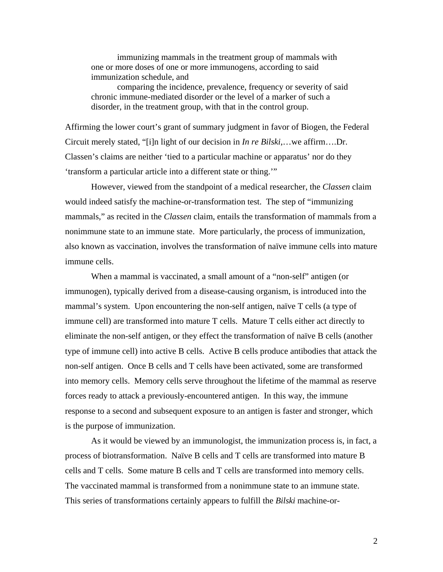immunizing mammals in the treatment group of mammals with one or more doses of one or more immunogens, according to said immunization schedule, and

comparing the incidence, prevalence, frequency or severity of said chronic immune-mediated disorder or the level of a marker of such a disorder, in the treatment group, with that in the control group.

Affirming the lower court's grant of summary judgment in favor of Biogen, the Federal Circuit merely stated, "[i]n light of our decision in *In re Bilski*,…we affirm….Dr. Classen's claims are neither 'tied to a particular machine or apparatus' nor do they 'transform a particular article into a different state or thing.'"

 However, viewed from the standpoint of a medical researcher, the *Classen* claim would indeed satisfy the machine-or-transformation test. The step of "immunizing mammals," as recited in the *Classen* claim, entails the transformation of mammals from a nonimmune state to an immune state. More particularly, the process of immunization, also known as vaccination, involves the transformation of naïve immune cells into mature immune cells.

When a mammal is vaccinated, a small amount of a "non-self" antigen (or immunogen), typically derived from a disease-causing organism, is introduced into the mammal's system. Upon encountering the non-self antigen, naïve T cells (a type of immune cell) are transformed into mature T cells. Mature T cells either act directly to eliminate the non-self antigen, or they effect the transformation of naïve B cells (another type of immune cell) into active B cells. Active B cells produce antibodies that attack the non-self antigen. Once B cells and T cells have been activated, some are transformed into memory cells. Memory cells serve throughout the lifetime of the mammal as reserve forces ready to attack a previously-encountered antigen. In this way, the immune response to a second and subsequent exposure to an antigen is faster and stronger, which is the purpose of immunization.

 As it would be viewed by an immunologist, the immunization process is, in fact, a process of biotransformation. Naïve B cells and T cells are transformed into mature B cells and T cells. Some mature B cells and T cells are transformed into memory cells. The vaccinated mammal is transformed from a nonimmune state to an immune state. This series of transformations certainly appears to fulfill the *Bilski* machine-or-

2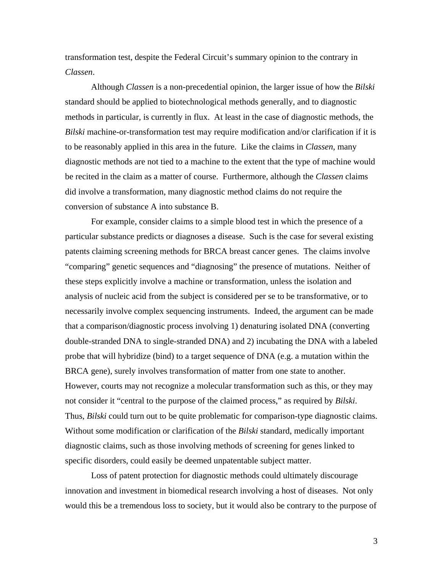transformation test, despite the Federal Circuit's summary opinion to the contrary in *Classen*.

 Although *Classen* is a non-precedential opinion, the larger issue of how the *Bilski*  standard should be applied to biotechnological methods generally, and to diagnostic methods in particular, is currently in flux. At least in the case of diagnostic methods, the *Bilski* machine-or-transformation test may require modification and/or clarification if it is to be reasonably applied in this area in the future. Like the claims in *Classen*, many diagnostic methods are not tied to a machine to the extent that the type of machine would be recited in the claim as a matter of course. Furthermore, although the *Classen* claims did involve a transformation, many diagnostic method claims do not require the conversion of substance A into substance B.

For example, consider claims to a simple blood test in which the presence of a particular substance predicts or diagnoses a disease. Such is the case for several existing patents claiming screening methods for BRCA breast cancer genes. The claims involve "comparing" genetic sequences and "diagnosing" the presence of mutations. Neither of these steps explicitly involve a machine or transformation, unless the isolation and analysis of nucleic acid from the subject is considered per se to be transformative, or to necessarily involve complex sequencing instruments. Indeed, the argument can be made that a comparison/diagnostic process involving 1) denaturing isolated DNA (converting double-stranded DNA to single-stranded DNA) and 2) incubating the DNA with a labeled probe that will hybridize (bind) to a target sequence of DNA (e.g. a mutation within the BRCA gene), surely involves transformation of matter from one state to another. However, courts may not recognize a molecular transformation such as this, or they may not consider it "central to the purpose of the claimed process," as required by *Bilski*. Thus, *Bilski* could turn out to be quite problematic for comparison-type diagnostic claims. Without some modification or clarification of the *Bilski* standard, medically important diagnostic claims, such as those involving methods of screening for genes linked to specific disorders, could easily be deemed unpatentable subject matter.

Loss of patent protection for diagnostic methods could ultimately discourage innovation and investment in biomedical research involving a host of diseases. Not only would this be a tremendous loss to society, but it would also be contrary to the purpose of

3